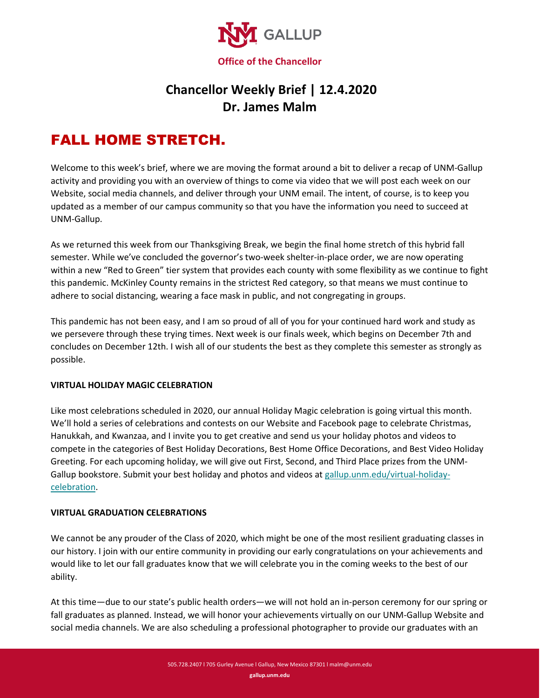

## **Chancellor Weekly Brief | 12.4.2020 Dr. James Malm**

# FALL HOME STRETCH.

Welcome to this week's brief, where we are moving the format around a bit to deliver a recap of UNM-Gallup activity and providing you with an overview of things to come via video that we will post each week on our Website, social media channels, and deliver through your UNM email. The intent, of course, is to keep you updated as a member of our campus community so that you have the information you need to succeed at UNM-Gallup.

As we returned this week from our Thanksgiving Break, we begin the final home stretch of this hybrid fall semester. While we've concluded the governor's two-week shelter-in-place order, we are now operating within a new "Red to Green" tier system that provides each county with some flexibility as we continue to fight this pandemic. McKinley County remains in the strictest Red category, so that means we must continue to adhere to social distancing, wearing a face mask in public, and not congregating in groups.

This pandemic has not been easy, and I am so proud of all of you for your continued hard work and study as we persevere through these trying times. Next week is our finals week, which begins on December 7th and concludes on December 12th. I wish all of our students the best as they complete this semester as strongly as possible.

#### **VIRTUAL HOLIDAY MAGIC CELEBRATION**

Like most celebrations scheduled in 2020, our annual Holiday Magic celebration is going virtual this month. We'll hold a series of celebrations and contests on our Website and Facebook page to celebrate Christmas, Hanukkah, and Kwanzaa, and I invite you to get creative and send us your holiday photos and videos to compete in the categories of Best Holiday Decorations, Best Home Office Decorations, and Best Video Holiday Greeting. For each upcoming holiday, we will give out First, Second, and Third Place prizes from the UNMGallup bookstore. Submit your best holiday and photos and videos at [gallup.unm.edu/virtual-holiday](http://www.gallup.unm.edu/virtual-holiday-celebration)[celebration.](http://www.gallup.unm.edu/virtual-holiday-celebration)

### **VIRTUAL GRADUATION CELEBRATIONS**

We cannot be any prouder of the Class of 2020, which might be one of the most resilient graduating classes in our history. I join with our entire community in providing our early congratulations on your achievements and would like to let our fall graduates know that we will celebrate you in the coming weeks to the best of our ability.

At this time—due to our state's public health orders—we will not hold an in-person ceremony for our spring or fall graduates as planned. Instead, we will honor your achievements virtually on our UNM-Gallup Website and social media channels. We are also scheduling a professional photographer to provide our graduates with an